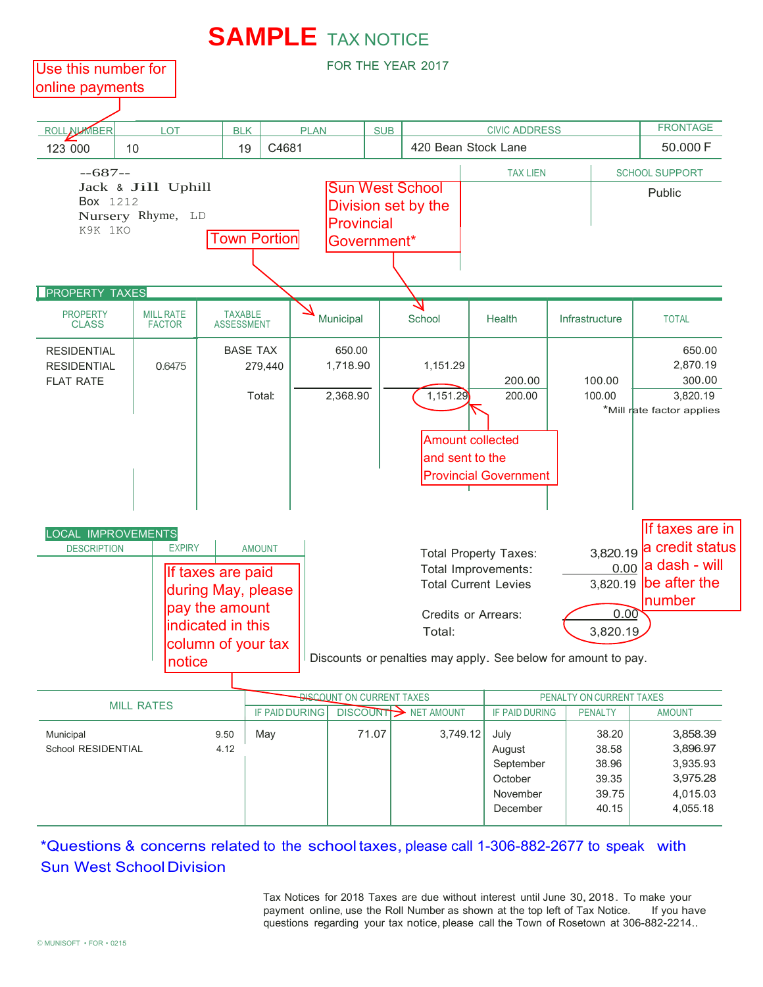

## \*Questions & concerns related to the school taxes,please call 1-306-882-2677 to speak with **Sun West School Division**

Tax Notices for 2018 Taxes are due without interest until June 30,2018. To make your payment online, use the Roll Number as shown at the top left of Tax Notice. questions regarding your tax notice, please call the Town of Rosetown at 306-882-2214..